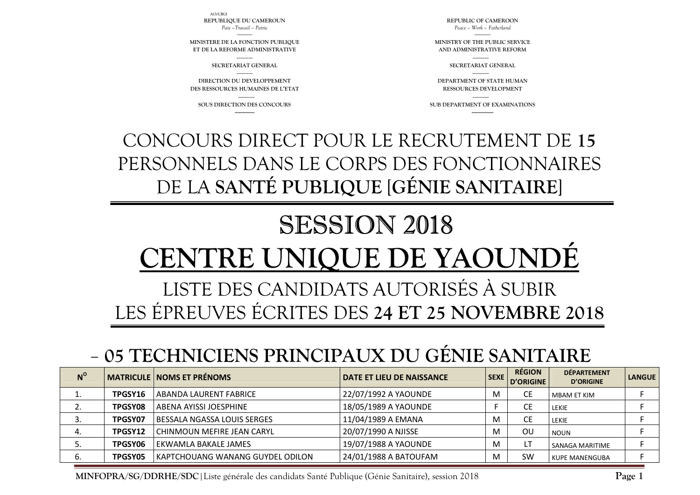**MINFOPRA/SG/DDRHE/SDC**|Liste générale des candidats Santé Publique (Génie Sanitaire), session 2018

|             | - 05 TECHNICIENS PRINCIPAUX DU GÉNIE SANITAIRE |                                    |                                  |             |                            |                                        |               |  |  |
|-------------|------------------------------------------------|------------------------------------|----------------------------------|-------------|----------------------------|----------------------------------------|---------------|--|--|
| $N^{\circ}$ |                                                | <b>MATRICULE NOMS ET PRÉNOMS</b>   | <b>DATE ET LIEU DE NAISSANCE</b> | <b>SEXE</b> | <b>RÉGION</b><br>D'ORIGINE | <b>DÉPARTEMENT</b><br><b>D'ORIGINE</b> | <b>LANGUE</b> |  |  |
|             | TPGSY16                                        | ABANDA LAURENT FABRICE             | 22/07/1992 A YAOUNDE             | M           | <b>CE</b>                  | MBAM ET KIM                            |               |  |  |
|             | TPGSY08                                        | ABENA AYISSI JOESPHINE             | 18/05/1989 A YAOUNDE             |             | <b>CE</b>                  | LEKIE                                  |               |  |  |
|             | TPGSY07                                        | <b>BESSALA NGASSA LOUIS SERGES</b> | 11/04/1989 A EMANA               | M           | <b>CE</b>                  | <b>LEKIE</b>                           |               |  |  |
| 4.          | TPGSY12                                        | CHINMOUN MEFIRE JEAN CARYL         | 20/07/1990 A NJISSE              | M           | OU                         | <b>NOUN</b>                            |               |  |  |
| 5.          | <b>TPGSY06</b>                                 | EKWAMLA BAKALE JAMES               | 19/07/1988 A YAOUNDE             | M           |                            | SANAGA MARITIME                        |               |  |  |
| 6.          | <b>TPGSY05</b>                                 | KAPTCHOUANG WANANG GUYDEL ODILON   | 24/01/1988 A BATOUFAM            | M           | <b>SW</b>                  | <b>KUPE MANENGUBA</b>                  |               |  |  |

## LISTE DES CANDIDATS AUTORISÉS À SUBIR LES ÉPREUVES ÉCRITES DES **24 ET 25 NOVEMBRE 2018**

## SESSION 2018 **CENTRE UNIQUE DE YAOUN**

CONCOURS DIRECT POUR LE RECRUTEMENT DE **15** PERSONNELS DANS LE CORPS DES FONCTIONNAIRES DE LA **SANTÉ PUBLIQUE** [**GÉNIE SANITAIRE**]

**SOUS DIRECTION DES CONCOURS** 

 **DIRECTION DU DEVELOPPEMENT DES RESSOURCES HUMAINES DE L'ETAT** 

---------------

--------------- **SECRETARIAT GENERAL** 

-------------- **MINISTERE DE LA FONCTION PUBLIQUE ET DE LA REFORME ADMINISTRATIVE**

*Paix –Travail – Patrie* 

AO/CBGI

**REPUBLIC OF CAMEROON** *Peace – Work – Fatherland* 

--------------- **MINISTRY OF THE PUBLIC SERVICE AND ADMINISTRATIVE REFORM** 

---------------

**SECRETARIAT GENERAL** 

--------------- **DEPARTMENT OF STATE HUMAN RESSOURCES DEVELOPMENT** 

--------------- **SUB DEPARTMENT OF EXAMINATIONS** 

**REPUBLIQUE DU CAMEROUN** 

**Page 1**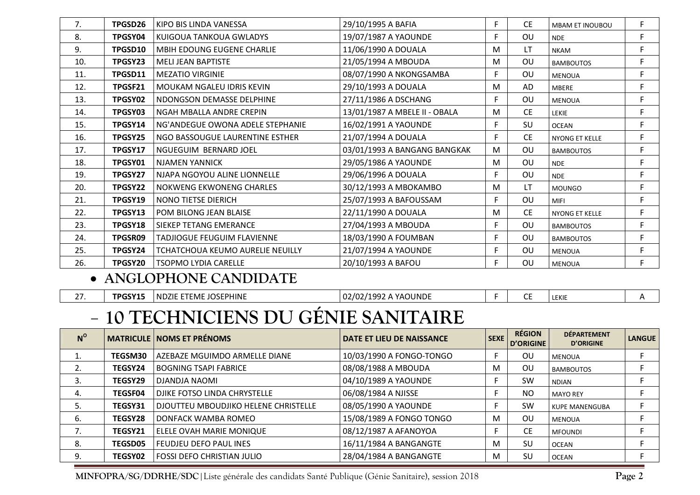| 7.  | TPGSD26 | KIPO BIS LINDA VANESSA                  | 29/10/1995 A BAFIA            | F. | <b>CE</b> | <b>MBAM ET INOUBOU</b> | F |
|-----|---------|-----------------------------------------|-------------------------------|----|-----------|------------------------|---|
| 8.  | TPGSY04 | KUIGOUA TANKOUA GWLADYS                 | 19/07/1987 A YAOUNDE          | F. | OU        | <b>NDE</b>             | F |
| 9.  | TPGSD10 | MBIH EDOUNG EUGENE CHARLIE              | 11/06/1990 A DOUALA           | M  | <b>LT</b> | <b>NKAM</b>            | F |
| 10. | TPGSY23 | <b>MELI JEAN BAPTISTE</b>               | 21/05/1994 A MBOUDA           | M  | OU        | <b>BAMBOUTOS</b>       | F |
| 11. | TPGSD11 | <b>MEZATIO VIRGINIE</b>                 | 08/07/1990 A NKONGSAMBA       | F  | OU        | <b>MENOUA</b>          | F |
| 12. | TPGSF21 | MOUKAM NGALEU IDRIS KEVIN               | 29/10/1993 A DOUALA           | M  | AD.       | <b>MBERE</b>           | F |
| 13. | TPGSY02 | NDONGSON DEMASSE DELPHINE               | 27/11/1986 A DSCHANG          | F. | OU        | <b>MENOUA</b>          | F |
| 14. | TPGSY03 | NGAH MBALLA ANDRE CREPIN                | 13/01/1987 A MBELE II - OBALA | M  | <b>CE</b> | <b>LEKIE</b>           | F |
| 15. | TPGSY14 | NG'ANDEGUE OWONA ADELE STEPHANIE        | 16/02/1991 A YAOUNDE          | F. | SU        | <b>OCEAN</b>           | F |
| 16. | TPGSY25 | NGO BASSOUGUE LAURENTINE ESTHER         | 21/07/1994 A DOUALA           | F. | CE.       | NYONG ET KELLE         | F |
| 17. | TPGSY17 | NGUEGUIM BERNARD JOEL                   | 03/01/1993 A BANGANG BANGKAK  | M  | OU        | <b>BAMBOUTOS</b>       | F |
| 18. | TPGSY01 | <b>NJAMEN YANNICK</b>                   | 29/05/1986 A YAOUNDE          | M  | OU        | <b>NDE</b>             | E |
| 19. | TPGSY27 | NJAPA NGOYOU ALINE LIONNELLE            | 29/06/1996 A DOUALA           | F. | OU        | <b>NDE</b>             | F |
| 20. | TPGSY22 | NOKWENG EKWONENG CHARLES                | 30/12/1993 A MBOKAMBO         | M  | LT        | <b>MOUNGO</b>          | F |
| 21. | TPGSY19 | NONO TIETSE DIERICH                     | 25/07/1993 A BAFOUSSAM        | F. | OU        | <b>MIFI</b>            | F |
| 22. | TPGSY13 | POM BILONG JEAN BLAISE                  | 22/11/1990 A DOUALA           | M  | <b>CE</b> | NYONG ET KELLE         | F |
| 23. | TPGSY18 | SIEKEP TETANG EMERANCE                  | 27/04/1993 A MBOUDA           | F. | OU        | <b>BAMBOUTOS</b>       | F |
| 24. | TPGSR09 | <b>TADJIOGUE FEUGUIM FLAVIENNE</b>      | 18/03/1990 A FOUMBAN          | F  | OU        | <b>BAMBOUTOS</b>       | F |
| 25. | TPGSY24 | <b>TCHATCHOUA KEUMO AURELIE NEUILLY</b> | 21/07/1994 A YAOUNDE          | F  | OU        | <b>MENOUA</b>          | F |
| 26. | TPGSY20 | <b>TSOPMO LYDIA CARELLE</b>             | 20/10/1993 A BAFOU            | F  | OU        | <b>MENOUA</b>          | F |

## • **ANGLOPHONE CANDIDATE**

|  | TPGSY15 | <b>INDZIE ETEME JOSEPHINE</b> | 02/02/1992 A YAOUNDE |  |  | LEKIE |  |  |
|--|---------|-------------------------------|----------------------|--|--|-------|--|--|
|--|---------|-------------------------------|----------------------|--|--|-------|--|--|

## **10 TECHNICIENS DU GÉNIE SANITAIRE**

| $N^{\circ}$ |                | <b>MATRICULE   NOMS ET PRÉNOMS</b>   | DATE ET LIEU DE NAISSANCE | <b>SEXE</b> | <b>RÉGION</b><br>D'ORIGINE | <b>DÉPARTEMENT</b><br><b>D'ORIGINE</b> | <b>LANGUE</b> |
|-------------|----------------|--------------------------------------|---------------------------|-------------|----------------------------|----------------------------------------|---------------|
|             | TEGSM30        | AZEBAZE MGUIMDO ARMELLE DIANE        | 10/03/1990 A FONGO-TONGO  | F           | OU                         | <b>MENOUA</b>                          |               |
|             | TEGSY24        | <b>BOGNING TSAPI FABRICE</b>         | 08/08/1988 A MBOUDA       | M           | OU                         | <b>BAMBOUTOS</b>                       |               |
| 3.          | TEGSY29        | DJANDJA NAOMI                        | 04/10/1989 A YAOUNDE      | F           | <b>SW</b>                  | <b>NDIAN</b>                           |               |
| 4.          | <b>TEGSF04</b> | DJIKE FOTSO LINDA CHRYSTELLE         | 06/08/1984 A NJISSE       | F           | N <sub>O</sub>             | <b>MAYO REY</b>                        |               |
|             | TEGSY31        | DJOUTTEU MBOUDJIKO HELENE CHRISTELLE | 08/05/1990 A YAOUNDE      | F           | <b>SW</b>                  | <b>KUPE MANENGUBA</b>                  |               |
| 6.          | <b>TEGSY28</b> | DONFACK WAMBA ROMEO                  | 15/08/1989 A FONGO TONGO  | M           | OU                         | <b>MENOUA</b>                          |               |
|             | TEGSY21        | ELELE OVAH MARIE MONIQUE             | 08/12/1987 A AFANOYOA     | F           | <b>CE</b>                  | <b>MFOUNDI</b>                         |               |
| 8.          | <b>TEGSD05</b> | <b>FEUDJEU DEFO PAUL INES</b>        | 16/11/1984 A BANGANGTE    | M           | SU                         | <b>OCEAN</b>                           |               |
| 9.          | <b>TEGSY02</b> | <b>FOSSI DEFO CHRISTIAN JULIO</b>    | 28/04/1984 A BANGANGTE    | M           | SU                         | <b>OCEAN</b>                           |               |

**MINFOPRA/SG/DDRHE/SDC**|Liste générale des candidats Santé Publique (Génie Sanitaire), session 2018